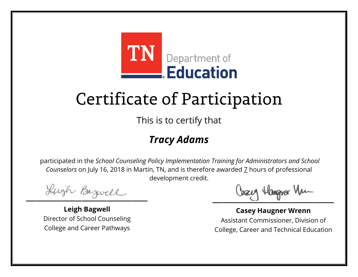

This is to certify that

### *Tracy Adams*

Lugh Bazwell

**Leigh Bagwell** Director of School Counseling College and Career Pathways

Losey Hangra Vm

**Casey Haugner Wrenn** Assistant Commissioner, Division of College, Career and Technical Education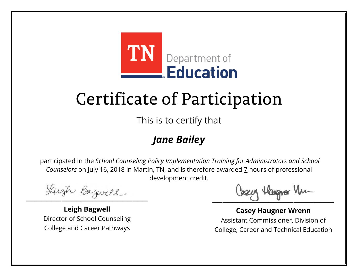

This is to certify that

## *Jane Bailey*

Lugh Bazwell

**Leigh Bagwell** Director of School Counseling College and Career Pathways

Losey Hangra Vm

**Casey Haugner Wrenn** Assistant Commissioner, Division of College, Career and Technical Education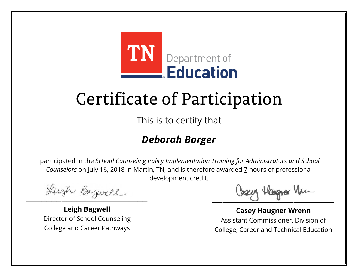

This is to certify that

## *Deborah Barger*

Lugh Bazwell

**Leigh Bagwell** Director of School Counseling College and Career Pathways

Cosey Hangra Vm

**Casey Haugner Wrenn** Assistant Commissioner, Division of College, Career and Technical Education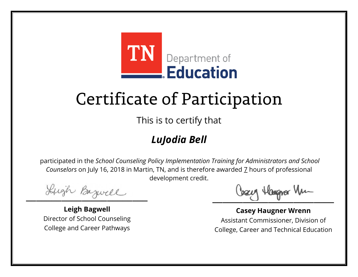

This is to certify that

## *LuJodia Bell*

Lugh Bazwell

**Leigh Bagwell** Director of School Counseling College and Career Pathways

Cosey Hangra Vm

**Casey Haugner Wrenn** Assistant Commissioner, Division of College, Career and Technical Education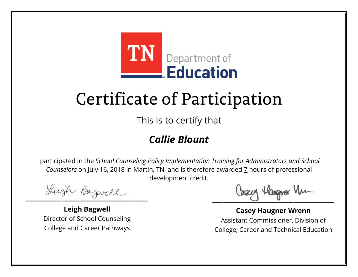

This is to certify that

### *Callie Blount*

Lugh Bazwell

**Leigh Bagwell** Director of School Counseling College and Career Pathways

Cosey Hangra Vm

**Casey Haugner Wrenn** Assistant Commissioner, Division of College, Career and Technical Education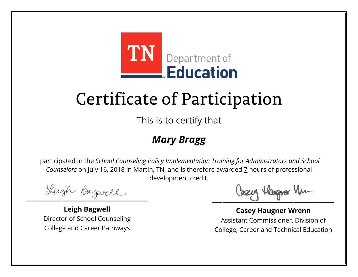

This is to certify that

### *Mary Bragg*

Lugh Bazwell

**Leigh Bagwell** Director of School Counseling College and Career Pathways

Cosey Hangra Vm

**Casey Haugner Wrenn** Assistant Commissioner, Division of College, Career and Technical Education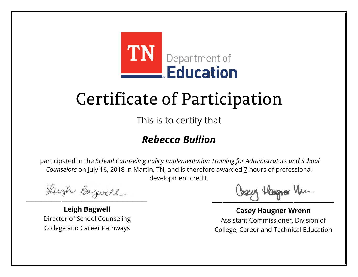

This is to certify that

### *Rebecca Bullion*

Lugh Bazwell

**Leigh Bagwell** Director of School Counseling College and Career Pathways

Cosey Hangra Vm

**Casey Haugner Wrenn** Assistant Commissioner, Division of College, Career and Technical Education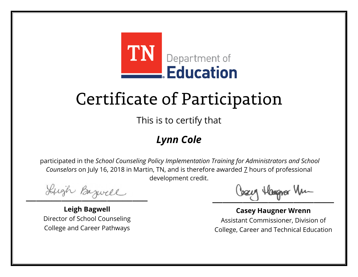

This is to certify that

## *Lynn Cole*

Lugh Bazwell

**Leigh Bagwell** Director of School Counseling College and Career Pathways

Losey Hangra Vm

**Casey Haugner Wrenn** Assistant Commissioner, Division of College, Career and Technical Education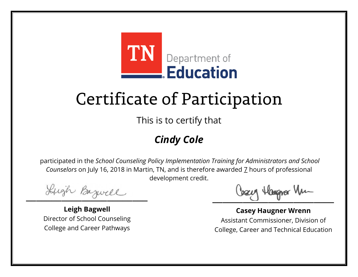

This is to certify that

## *Cindy Cole*

Lugh Bazwell

**Leigh Bagwell** Director of School Counseling College and Career Pathways

Losey Hangra Vm

**Casey Haugner Wrenn** Assistant Commissioner, Division of College, Career and Technical Education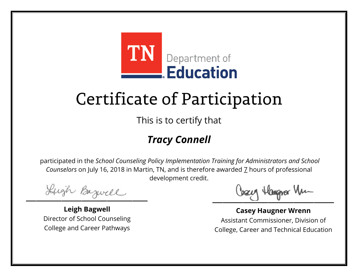

This is to certify that

## *Tracy Connell*

Lugh Bazwell

**Leigh Bagwell** Director of School Counseling College and Career Pathways

Cosey Hangra Vm

**Casey Haugner Wrenn** Assistant Commissioner, Division of College, Career and Technical Education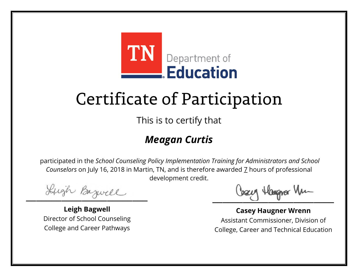

This is to certify that

## *Meagan Curtis*

Lugh Bazwell

**Leigh Bagwell** Director of School Counseling College and Career Pathways

Cosey Hangra Vm

**Casey Haugner Wrenn** Assistant Commissioner, Division of College, Career and Technical Education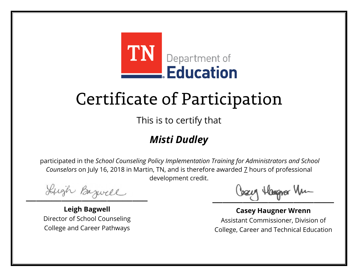

This is to certify that

## *Misti Dudley*

Lugh Bazwell

**Leigh Bagwell** Director of School Counseling College and Career Pathways

Cosey Hangra Vm

**Casey Haugner Wrenn** Assistant Commissioner, Division of College, Career and Technical Education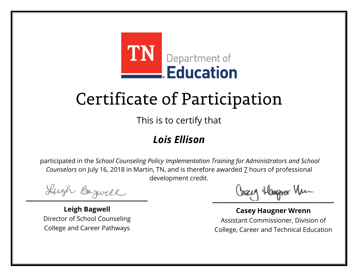

This is to certify that

### *Lois Ellison*

Lugh Bazwell

**Leigh Bagwell** Director of School Counseling College and Career Pathways

Losey Hangra Vm

**Casey Haugner Wrenn** Assistant Commissioner, Division of College, Career and Technical Education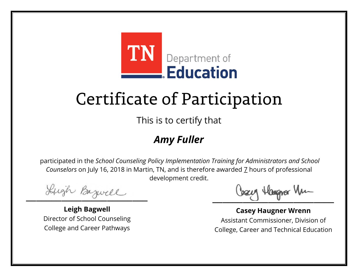

This is to certify that

### *Amy Fuller*

Lugh Bazwell

**Leigh Bagwell** Director of School Counseling College and Career Pathways

Losey Hangra Vm

**Casey Haugner Wrenn** Assistant Commissioner, Division of College, Career and Technical Education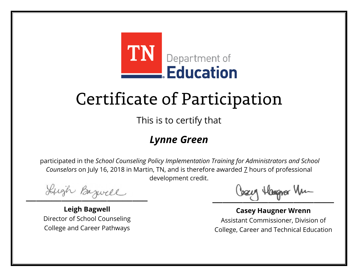

This is to certify that

### *Lynne Green*

Lugh Bazwell

**Leigh Bagwell** Director of School Counseling College and Career Pathways

Losey Hangra Vm

**Casey Haugner Wrenn** Assistant Commissioner, Division of College, Career and Technical Education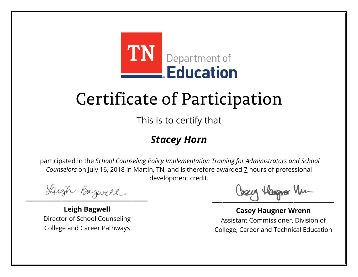

This is to certify that

#### *Stacey Horn*

Lugh Bazwell

**Leigh Bagwell** Director of School Counseling College and Career Pathways

Losey Hangra Vm

**Casey Haugner Wrenn** Assistant Commissioner, Division of College, Career and Technical Education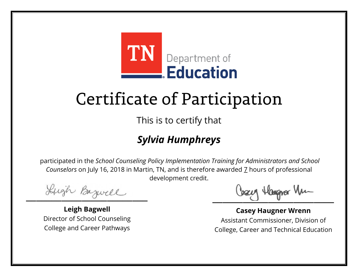

This is to certify that

## *Sylvia Humphreys*

Lugh Bazwell

**Leigh Bagwell** Director of School Counseling College and Career Pathways

Cosey Hangra Vm

**Casey Haugner Wrenn** Assistant Commissioner, Division of College, Career and Technical Education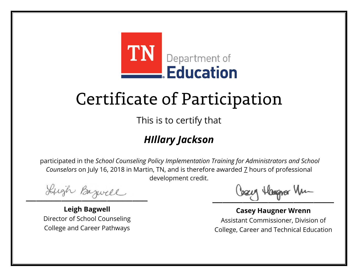

This is to certify that

## *HIllary Jackson*

Lugh Bazwell

**Leigh Bagwell** Director of School Counseling College and Career Pathways

Cosey Hangra Vm

**Casey Haugner Wrenn** Assistant Commissioner, Division of College, Career and Technical Education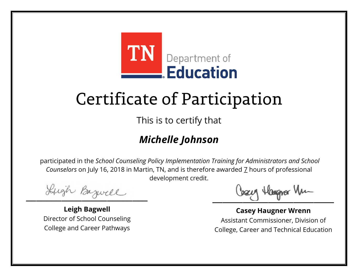

This is to certify that

### *Michelle Johnson*

Lugh Bazwell

**Leigh Bagwell** Director of School Counseling College and Career Pathways

Cosey Hangra Vm

**Casey Haugner Wrenn** Assistant Commissioner, Division of College, Career and Technical Education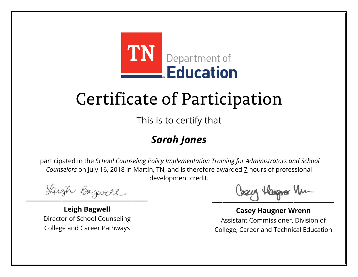

This is to certify that

### *Sarah Jones*

Lugh Bazwell

**Leigh Bagwell** Director of School Counseling College and Career Pathways

Cosey Hangra Vm

**Casey Haugner Wrenn** Assistant Commissioner, Division of College, Career and Technical Education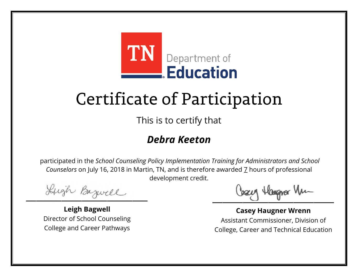

This is to certify that

### *Debra Keeton*

Lugh Bazwell

**Leigh Bagwell** Director of School Counseling College and Career Pathways

Cosey Hangra Vm

**Casey Haugner Wrenn** Assistant Commissioner, Division of College, Career and Technical Education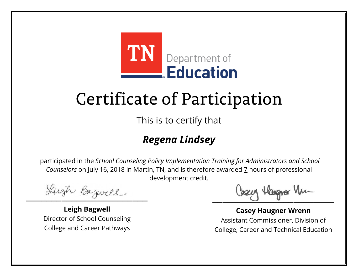

This is to certify that

## *Regena Lindsey*

Lugh Bazwell

**Leigh Bagwell** Director of School Counseling College and Career Pathways

Cosey Hangra Vm

**Casey Haugner Wrenn** Assistant Commissioner, Division of College, Career and Technical Education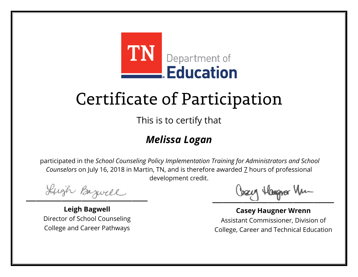

This is to certify that

## *Melissa Logan*

Lugh Bazwell

**Leigh Bagwell** Director of School Counseling College and Career Pathways

Cosey Hangra Vm

**Casey Haugner Wrenn** Assistant Commissioner, Division of College, Career and Technical Education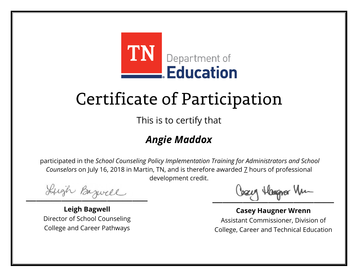

This is to certify that

## *Angie Maddox*

Lugh Bazwell

**Leigh Bagwell** Director of School Counseling College and Career Pathways

Cosey Hangra Vm

**Casey Haugner Wrenn** Assistant Commissioner, Division of College, Career and Technical Education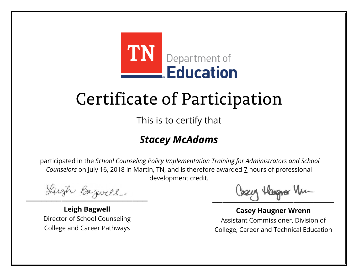

This is to certify that

### *Stacey McAdams*

Lugh Bazwell

**Leigh Bagwell** Director of School Counseling College and Career Pathways

Cosey Hangra Vm

**Casey Haugner Wrenn** Assistant Commissioner, Division of College, Career and Technical Education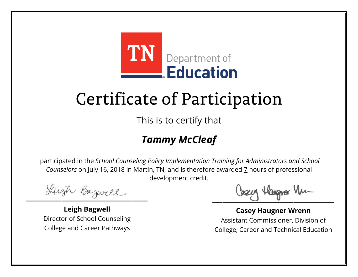

This is to certify that

## *Tammy McCleaf*

Lugh Bazwell

**Leigh Bagwell** Director of School Counseling College and Career Pathways

Cosey Hangra Vm

**Casey Haugner Wrenn** Assistant Commissioner, Division of College, Career and Technical Education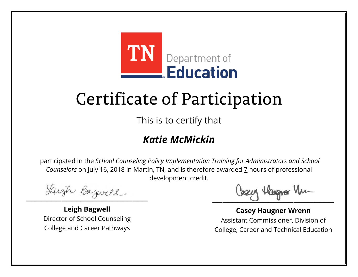

This is to certify that

### *Katie McMickin*

Lugh Bazwell

**Leigh Bagwell** Director of School Counseling College and Career Pathways

Cosey Hangra Vm

**Casey Haugner Wrenn** Assistant Commissioner, Division of College, Career and Technical Education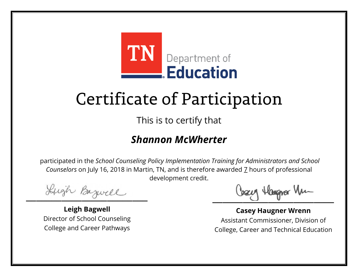

This is to certify that

#### *Shannon McWherter*

Lugh Bazwell

**Leigh Bagwell** Director of School Counseling College and Career Pathways

Cosey Hangra Vm

**Casey Haugner Wrenn** Assistant Commissioner, Division of College, Career and Technical Education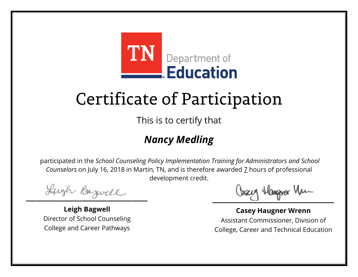

This is to certify that

## *Nancy Medling*

Lugh Bazwell

**Leigh Bagwell** Director of School Counseling College and Career Pathways

Cosey Hangra Vm

**Casey Haugner Wrenn** Assistant Commissioner, Division of College, Career and Technical Education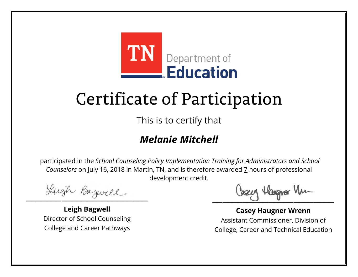

This is to certify that

### *Melanie Mitchell*

Lugh Bazwell

**Leigh Bagwell** Director of School Counseling College and Career Pathways

Cosey Hangra Vm

**Casey Haugner Wrenn** Assistant Commissioner, Division of College, Career and Technical Education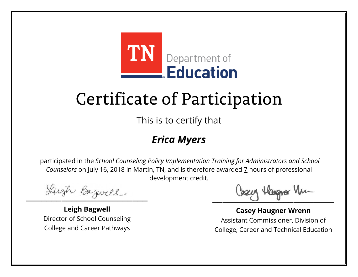

This is to certify that

### *Erica Myers*

Lugh Bazwell

**Leigh Bagwell** Director of School Counseling College and Career Pathways

Losey Hangra Vm

**Casey Haugner Wrenn** Assistant Commissioner, Division of College, Career and Technical Education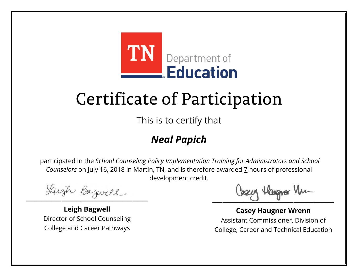

This is to certify that

## *Neal Papich*

Lugh Bazwell

**Leigh Bagwell** Director of School Counseling College and Career Pathways

Cosey Hangra Vm

**Casey Haugner Wrenn** Assistant Commissioner, Division of College, Career and Technical Education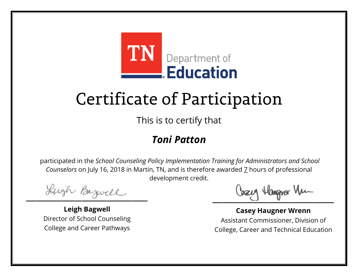

This is to certify that

#### *Toni Patton*

Lugh Bazwell

**Leigh Bagwell** Director of School Counseling College and Career Pathways

Cosey Hangra Vm

**Casey Haugner Wrenn** Assistant Commissioner, Division of College, Career and Technical Education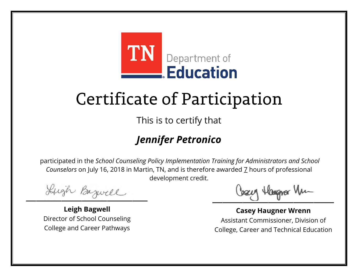

This is to certify that

## *Jennifer Petronico*

Lugh Bazwell

**Leigh Bagwell** Director of School Counseling College and Career Pathways

Cosey Hangra Vm

**Casey Haugner Wrenn** Assistant Commissioner, Division of College, Career and Technical Education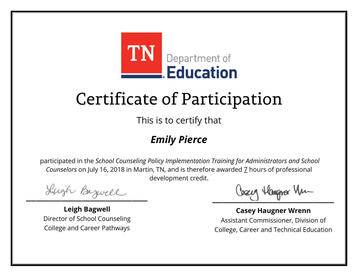

This is to certify that

## *Emily Pierce*

Lugh Bazwell

**Leigh Bagwell** Director of School Counseling College and Career Pathways

Losey Hangra Vm

**Casey Haugner Wrenn** Assistant Commissioner, Division of College, Career and Technical Education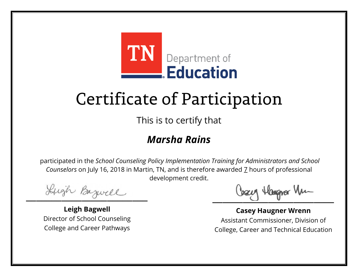

This is to certify that

### *Marsha Rains*

Lugh Bazwell

**Leigh Bagwell** Director of School Counseling College and Career Pathways

Cosey Hangra Vm

**Casey Haugner Wrenn** Assistant Commissioner, Division of College, Career and Technical Education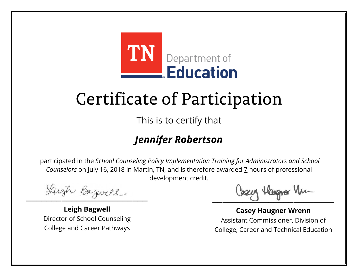

This is to certify that

## *Jennifer Robertson*

Lugh Bazwell

**Leigh Bagwell** Director of School Counseling College and Career Pathways

Cosey Hangra Vm

**Casey Haugner Wrenn** Assistant Commissioner, Division of College, Career and Technical Education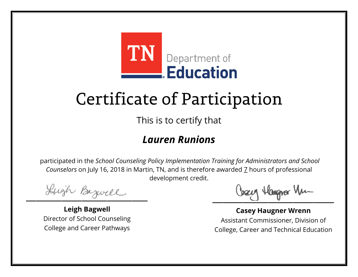

This is to certify that

#### *Lauren Runions*

Lugh Bazwell

**Leigh Bagwell** Director of School Counseling College and Career Pathways

Cosey Hangra Vm

**Casey Haugner Wrenn** Assistant Commissioner, Division of College, Career and Technical Education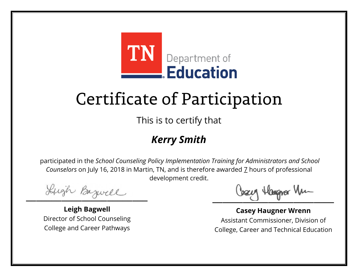

This is to certify that

### *Kerry Smith*

Lugh Bazwell

**Leigh Bagwell** Director of School Counseling College and Career Pathways

Losey Hangra Vm

**Casey Haugner Wrenn** Assistant Commissioner, Division of College, Career and Technical Education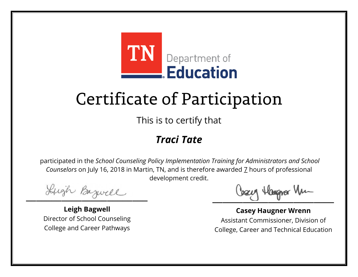

This is to certify that

### *Traci Tate*

Lugh Bazwell

**Leigh Bagwell** Director of School Counseling College and Career Pathways

Cosey Hangra Vm

**Casey Haugner Wrenn** Assistant Commissioner, Division of College, Career and Technical Education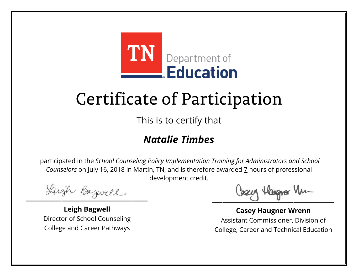

This is to certify that

### *Natalie Timbes*

Lugh Bazwell

**Leigh Bagwell** Director of School Counseling College and Career Pathways

Cosey Hangra Vm

**Casey Haugner Wrenn** Assistant Commissioner, Division of College, Career and Technical Education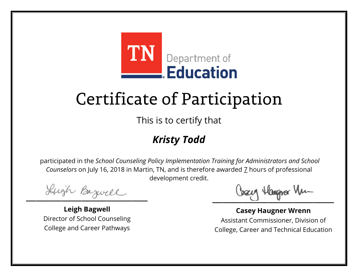

This is to certify that

## *Kristy Todd*

Lugh Bazwell

**Leigh Bagwell** Director of School Counseling College and Career Pathways

Losey Hangra Vm

**Casey Haugner Wrenn** Assistant Commissioner, Division of College, Career and Technical Education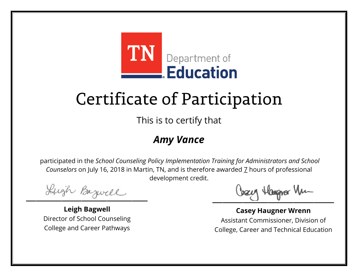

This is to certify that

### *Amy Vance*

Lugh Bazwell

**Leigh Bagwell** Director of School Counseling College and Career Pathways

Losey Hangra Vm

**Casey Haugner Wrenn** Assistant Commissioner, Division of College, Career and Technical Education